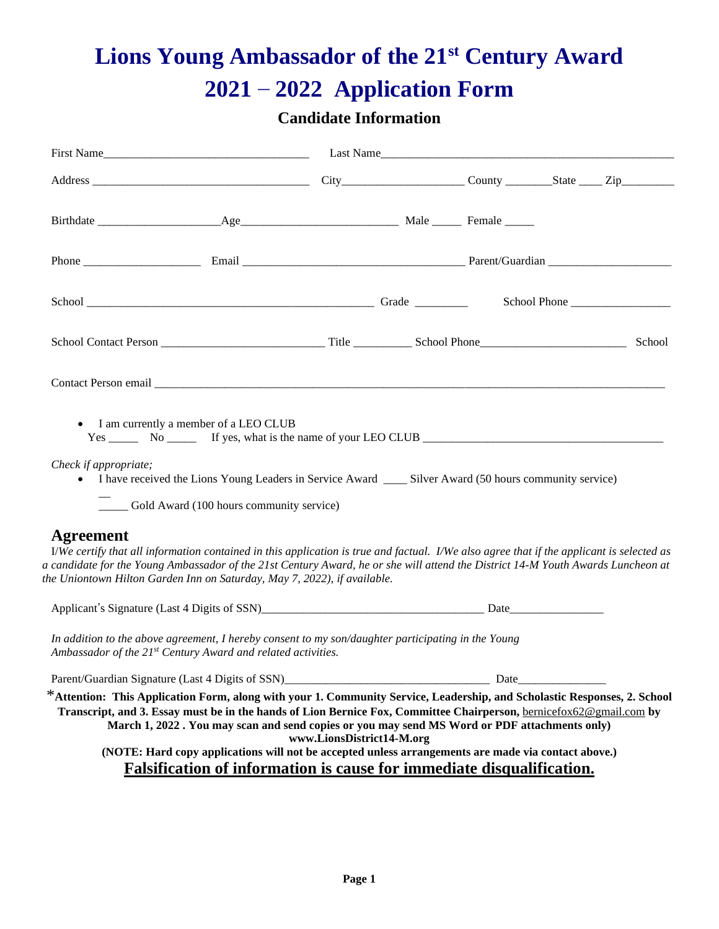# **Lions Young Ambassador of the 21st Century Award 2021 – 2022 Application Form**

## **Candidate Information**

|                                           | First Name                                                                                                                                                                                                                                                                                                                                                                                                                                              |                           |      |  | Last Name |
|-------------------------------------------|---------------------------------------------------------------------------------------------------------------------------------------------------------------------------------------------------------------------------------------------------------------------------------------------------------------------------------------------------------------------------------------------------------------------------------------------------------|---------------------------|------|--|-----------|
|                                           |                                                                                                                                                                                                                                                                                                                                                                                                                                                         |                           |      |  |           |
|                                           |                                                                                                                                                                                                                                                                                                                                                                                                                                                         |                           |      |  |           |
|                                           |                                                                                                                                                                                                                                                                                                                                                                                                                                                         |                           |      |  |           |
|                                           |                                                                                                                                                                                                                                                                                                                                                                                                                                                         |                           |      |  |           |
|                                           |                                                                                                                                                                                                                                                                                                                                                                                                                                                         |                           |      |  | School    |
|                                           |                                                                                                                                                                                                                                                                                                                                                                                                                                                         |                           |      |  |           |
| Check if appropriate;<br><b>Agreement</b> | • I am currently a member of a LEO CLUB<br>• I have received the Lions Young Leaders in Service Award _______ Silver Award (50 hours community service)<br>____ Gold Award (100 hours community service)                                                                                                                                                                                                                                                |                           |      |  |           |
|                                           | I/We certify that all information contained in this application is true and factual. I/We also agree that if the applicant is selected as<br>a candidate for the Young Ambassador of the 21st Century Award, he or she will attend the District 14-M Youth Awards Luncheon at<br>the Uniontown Hilton Garden Inn on Saturday, May 7, 2022), if available.                                                                                               |                           |      |  |           |
|                                           |                                                                                                                                                                                                                                                                                                                                                                                                                                                         |                           |      |  |           |
|                                           | In addition to the above agreement, I hereby consent to my son/daughter participating in the Young<br>Ambassador of the 21st Century Award and related activities.                                                                                                                                                                                                                                                                                      |                           |      |  |           |
|                                           | Parent/Guardian Signature (Last 4 Digits of SSN)                                                                                                                                                                                                                                                                                                                                                                                                        |                           | Date |  |           |
|                                           | *Attention: This Application Form, along with your 1. Community Service, Leadership, and Scholastic Responses, 2. School<br>Transcript, and 3. Essay must be in the hands of Lion Bernice Fox, Committee Chairperson, bernicefox62@gmail.com by<br>March 1, 2022 . You may scan and send copies or you may send MS Word or PDF attachments only)<br>(NOTE: Hard copy applications will not be accepted unless arrangements are made via contact above.) | www.LionsDistrict14-M.org |      |  |           |
|                                           | Falsification of information is cause for immediate disqualification.                                                                                                                                                                                                                                                                                                                                                                                   |                           |      |  |           |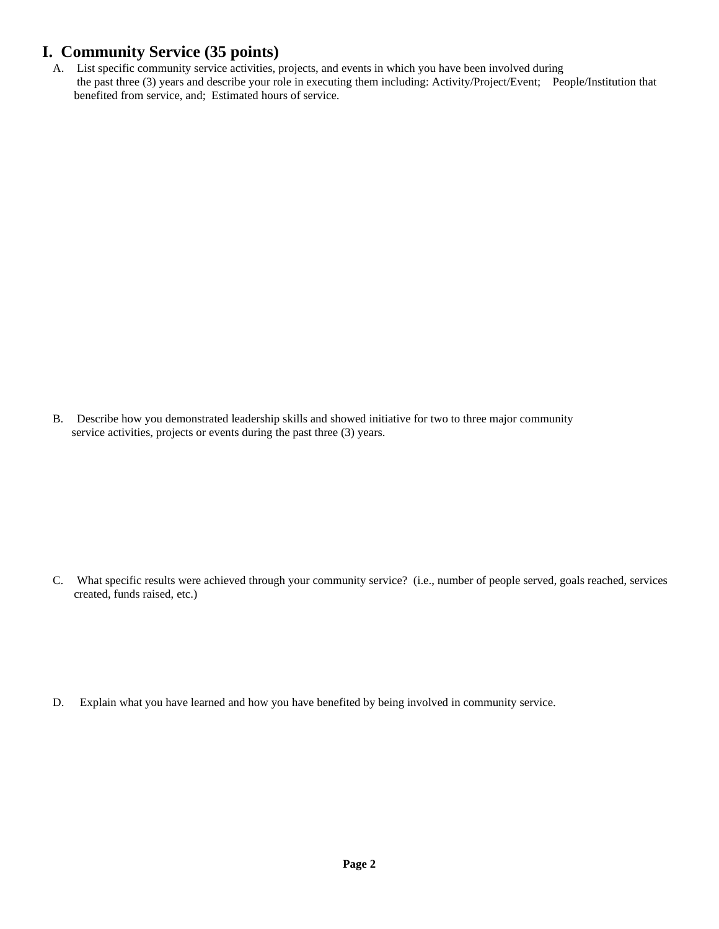#### **I. Community Service (35 points)**

A. List specific community service activities, projects, and events in which you have been involved during the past three (3) years and describe your role in executing them including: Activity/Project/Event; People/Institution that benefited from service, and; Estimated hours of service.

B. Describe how you demonstrated leadership skills and showed initiative for two to three major community service activities, projects or events during the past three (3) years.

C. What specific results were achieved through your community service? (i.e., number of people served, goals reached, services created, funds raised, etc.)

D. Explain what you have learned and how you have benefited by being involved in community service.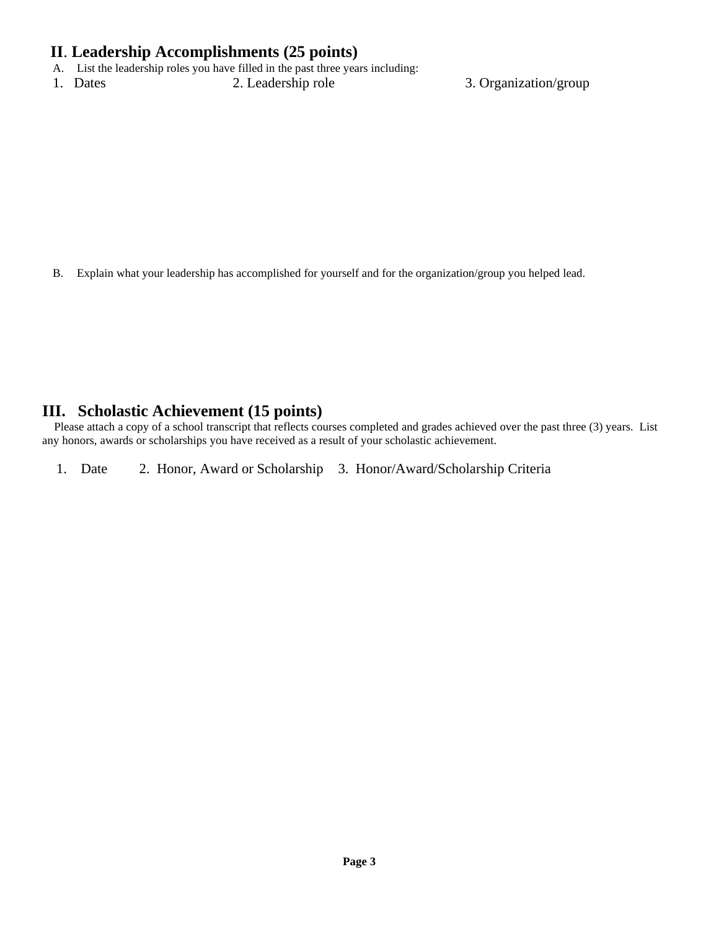#### **II**. **Leadership Accomplishments (25 points)**

- A. List the leadership roles you have filled in the past three years including:
- 1. Dates 2. Leadership role 3. Organization/group

B. Explain what your leadership has accomplished for yourself and for the organization/group you helped lead.

#### **III. Scholastic Achievement (15 points)**

Please attach a copy of a school transcript that reflects courses completed and grades achieved over the past three (3) years. List any honors, awards or scholarships you have received as a result of your scholastic achievement.

1. Date 2. Honor, Award or Scholarship 3. Honor/Award/Scholarship Criteria